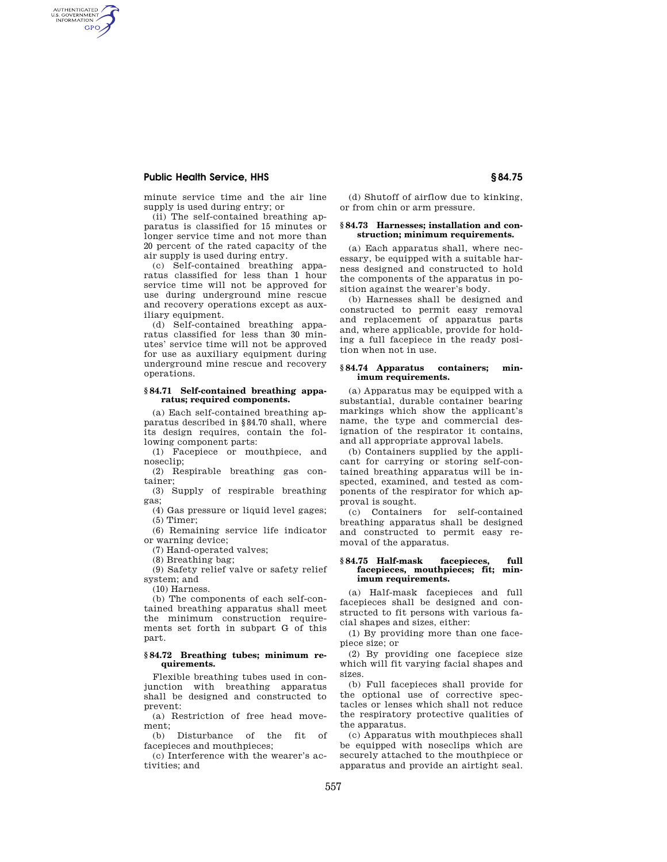# **Public Health Service, HHS § 84.75**

AUTHENTICATED<br>U.S. GOVERNMENT<br>INFORMATION GPO

> minute service time and the air line supply is used during entry; or

> (ii) The self-contained breathing apparatus is classified for 15 minutes or longer service time and not more than 20 percent of the rated capacity of the air supply is used during entry.

> (c) Self-contained breathing apparatus classified for less than 1 hour service time will not be approved for use during underground mine rescue and recovery operations except as auxiliary equipment.

> (d) Self-contained breathing apparatus classified for less than 30 minutes' service time will not be approved for use as auxiliary equipment during underground mine rescue and recovery operations.

### **§ 84.71 Self-contained breathing apparatus; required components.**

(a) Each self-contained breathing apparatus described in §84.70 shall, where its design requires, contain the following component parts:

(1) Facepiece or mouthpiece, and noseclip;

(2) Respirable breathing gas container;

(3) Supply of respirable breathing gas;

(4) Gas pressure or liquid level gages; (5) Timer;

(6) Remaining service life indicator or warning device;

(7) Hand-operated valves;

(8) Breathing bag;

(9) Safety relief valve or safety relief system; and

(10) Harness.

(b) The components of each self-contained breathing apparatus shall meet the minimum construction requirements set forth in subpart G of this part.

# **§ 84.72 Breathing tubes; minimum requirements.**

Flexible breathing tubes used in conjunction with breathing apparatus shall be designed and constructed to prevent:

(a) Restriction of free head movement;

(b) Disturbance of the fit of facepieces and mouthpieces;

(c) Interference with the wearer's activities; and

(d) Shutoff of airflow due to kinking, or from chin or arm pressure.

### **§ 84.73 Harnesses; installation and construction; minimum requirements.**

(a) Each apparatus shall, where necessary, be equipped with a suitable harness designed and constructed to hold the components of the apparatus in position against the wearer's body.

(b) Harnesses shall be designed and constructed to permit easy removal and replacement of apparatus parts and, where applicable, provide for holding a full facepiece in the ready position when not in use.

### **§ 84.74 Apparatus containers; minimum requirements.**

(a) Apparatus may be equipped with a substantial, durable container bearing markings which show the applicant's name, the type and commercial designation of the respirator it contains, and all appropriate approval labels.

(b) Containers supplied by the applicant for carrying or storing self-contained breathing apparatus will be inspected, examined, and tested as components of the respirator for which approval is sought.

(c) Containers for self-contained breathing apparatus shall be designed and constructed to permit easy removal of the apparatus.

### **§ 84.75 Half-mask facepieces, full facepieces, mouthpieces; fit; minimum requirements.**

(a) Half-mask facepieces and full facepieces shall be designed and constructed to fit persons with various facial shapes and sizes, either:

(1) By providing more than one facepiece size; or

(2) By providing one facepiece size which will fit varying facial shapes and sizes.

(b) Full facepieces shall provide for the optional use of corrective spectacles or lenses which shall not reduce the respiratory protective qualities of the apparatus.

(c) Apparatus with mouthpieces shall be equipped with noseclips which are securely attached to the mouthpiece or apparatus and provide an airtight seal.